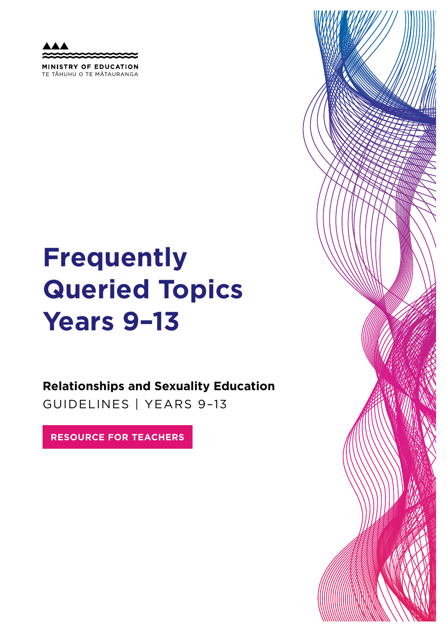MINISTRY OF EDUCATION TE TAHUHU O TE MATAURANGA

# **Frequently Queried Topics Years 9–13**

**Relationships and Sexuality Education**  GUIDELINES | YEARS 9–13

**RESOURCE FOR TEACHERS**

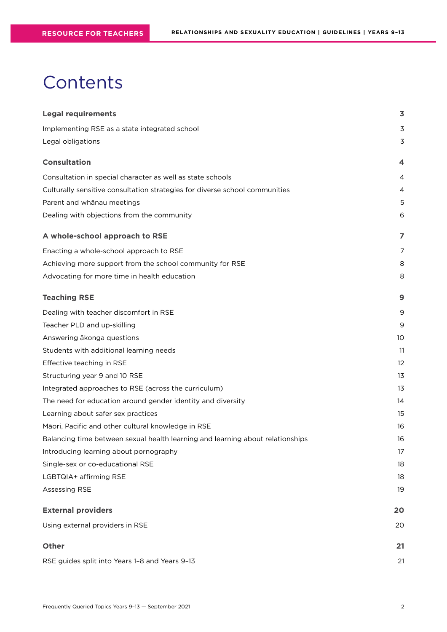## **Contents**

| <b>Legal requirements</b>                                                      | 3           |
|--------------------------------------------------------------------------------|-------------|
| Implementing RSE as a state integrated school                                  | 3           |
| Legal obligations                                                              | $\mathsf 3$ |
| <b>Consultation</b>                                                            | 4           |
| Consultation in special character as well as state schools                     | 4           |
| Culturally sensitive consultation strategies for diverse school communities    | 4           |
| Parent and whānau meetings                                                     | 5           |
| Dealing with objections from the community                                     | 6           |
| A whole-school approach to RSE                                                 | 7           |
| Enacting a whole-school approach to RSE                                        | 7           |
| Achieving more support from the school community for RSE                       | 8           |
| Advocating for more time in health education                                   | 8           |
| <b>Teaching RSE</b>                                                            | 9           |
| Dealing with teacher discomfort in RSE                                         | 9           |
| Teacher PLD and up-skilling                                                    | 9           |
| Answering ākonga questions                                                     | 10          |
| Students with additional learning needs                                        | 11          |
| Effective teaching in RSE                                                      | 12          |
| Structuring year 9 and 10 RSE                                                  | 13          |
| Integrated approaches to RSE (across the curriculum)                           | 13          |
| The need for education around gender identity and diversity                    | 14          |
| Learning about safer sex practices                                             | 15          |
| Māori, Pacific and other cultural knowledge in RSE                             | 16          |
| Balancing time between sexual health learning and learning about relationships | 16          |
| Introducing learning about pornography                                         | 17          |
| Single-sex or co-educational RSE                                               | 18          |
| LGBTQIA+ affirming RSE                                                         | 18          |
| Assessing RSE                                                                  | 19          |
| <b>External providers</b>                                                      | 20          |
| Using external providers in RSE                                                | 20          |
| <b>Other</b>                                                                   | 21          |
| RSE guides split into Years 1-8 and Years 9-13                                 | 21          |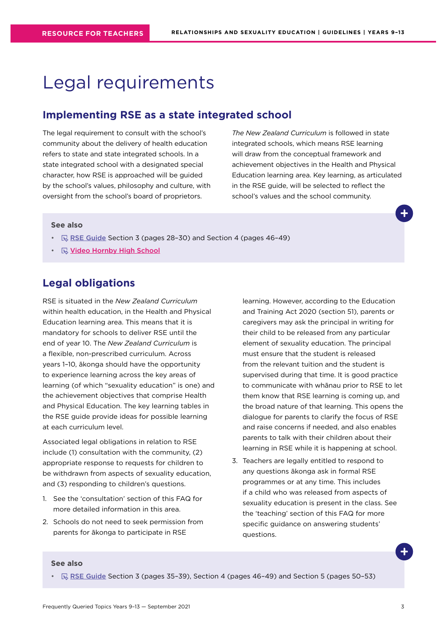## <span id="page-2-0"></span>Legal requirements

### **Implementing RSE as a state integrated school**

The legal requirement to consult with the school's community about the delivery of health education refers to state and state integrated schools. In a state integrated school with a designated special character, how RSE is approached will be guided by the school's values, philosophy and culture, with oversight from the school's board of proprietors.

*The New Zealand Curriculum* is followed in state integrated schools, which means RSE learning will draw from the conceptual framework and achievement objectives in the Health and Physical Education learning area. Key learning, as articulated in the RSE guide, will be selected to reflect the school's values and the school community.

#### **See also**

- $\quad \qquad \mathbb{R}$  [RSE Guide](https://health.tki.org.nz/Teaching-in-Heath-and-Physical-Education-HPE/Policy-Guidelines/Relationships-and-Sexuality-Education) Section 3 (pages 28-30) and Section 4 (pages 46-49)
- **Wideo Hornby High School**

### **Legal obligations**

RSE is situated in the *New Zealand Curriculum* within health education, in the Health and Physical Education learning area. This means that it is mandatory for schools to deliver RSE until the end of year 10. The *New Zealand Curriculum* is a flexible, non-prescribed curriculum. Across years 1–10, ākonga should have the opportunity to experience learning across the key areas of learning (of which "sexuality education" is one) and the achievement objectives that comprise Health and Physical Education. The key learning tables in the RSE guide provide ideas for possible learning at each curriculum level.

Associated legal obligations in relation to RSE include (1) consultation with the community, (2) appropriate response to requests for children to be withdrawn from aspects of sexuality education, and (3) responding to children's questions.

- 1. See the 'consultation' section of this FAQ for more detailed information in this area.
- 2. Schools do not need to seek permission from parents for ākonga to participate in RSE

learning. However, according to the Education and Training Act 2020 (section 51), parents or caregivers may ask the principal in writing for their child to be released from any particular element of sexuality education. The principal must ensure that the student is released from the relevant tuition and the student is supervised during that time. It is good practice to communicate with whānau prior to RSE to let them know that RSE learning is coming up, and the broad nature of that learning. This opens the dialogue for parents to clarify the focus of RSE and raise concerns if needed, and also enables parents to talk with their children about their learning in RSE while it is happening at school.

3. Teachers are legally entitled to respond to any questions ākonga ask in formal RSE programmes or at any time. This includes if a child who was released from aspects of sexuality education is present in the class. See the 'teaching' section of this FAQ for more specific guidance on answering students' questions.

#### **See also**

•  $\mathbb{R}$  [RSE Guide](https://health.tki.org.nz/Teaching-in-Heath-and-Physical-Education-HPE/Policy-Guidelines/Relationships-and-Sexuality-Education) Section 3 (pages 35-39), Section 4 (pages 46-49) and Section 5 (pages 50-53)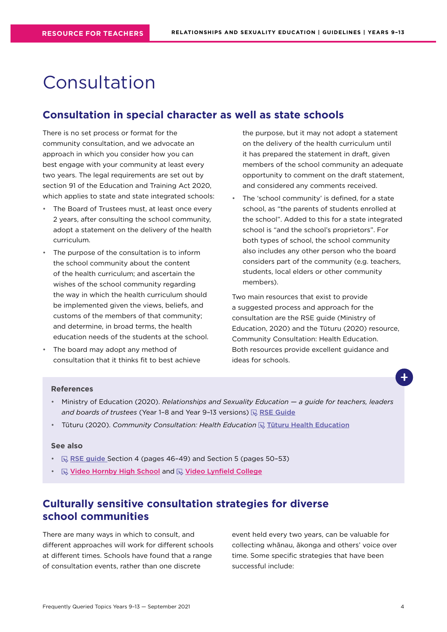## <span id="page-3-0"></span>Consultation

### **Consultation in special character as well as state schools**

There is no set process or format for the community consultation, and we advocate an approach in which you consider how you can best engage with your community at least every two years. The legal requirements are set out by section 91 of the Education and Training Act 2020, which applies to state and state integrated schools:

- The Board of Trustees must, at least once every 2 years, after consulting the school community, adopt a statement on the delivery of the health curriculum.
- The purpose of the consultation is to inform the school community about the content of the health curriculum; and ascertain the wishes of the school community regarding the way in which the health curriculum should be implemented given the views, beliefs, and customs of the members of that community; and determine, in broad terms, the health education needs of the students at the school.
- The board may adopt any method of consultation that it thinks fit to best achieve

the purpose, but it may not adopt a statement on the delivery of the health curriculum until it has prepared the statement in draft, given members of the school community an adequate opportunity to comment on the draft statement, and considered any comments received.

The 'school community' is defined, for a state school, as "the parents of students enrolled at the school". Added to this for a state integrated school is "and the school's proprietors". For both types of school, the school community also includes any other person who the board considers part of the community (e.g. teachers, students, local elders or other community members).

Two main resources that exist to provide a suggested process and approach for the consultation are the RSE guide (Ministry of Education, 2020) and the Tūturu (2020) resource, Community Consultation: Health Education. Both resources provide excellent guidance and ideas for schools.

#### **References**

- Ministry of Education (2020). *Relationships and Sexuality Education a guide for teachers, leaders and boards of trustees* (Year 1-8 and Year 9-13 versions)  $\mathbb{R}$  $\mathbb{R}$  $\mathbb{R}$  RSE Guide
- Tūturu (2020). *Community Consultation: Health Education* **Research Education**

#### **See also**

- $\mathbb R$  [RSE guide](https://health.tki.org.nz/Teaching-in-Heath-and-Physical-Education-HPE/Policy-Guidelines/Relationships-and-Sexuality-Education) Section 4 (pages 46-49) and Section 5 (pages 50-53)
- **E** Video Hornby High School and **E** Video Lynfield College

## **Culturally sensitive consultation strategies for diverse school communities**

There are many ways in which to consult, and different approaches will work for different schools at different times. Schools have found that a range of consultation events, rather than one discrete

event held every two years, can be valuable for collecting whānau, ākonga and others' voice over time. Some specific strategies that have been successful include: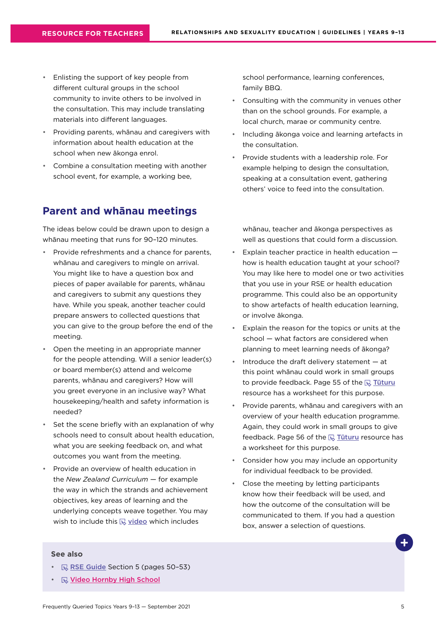- <span id="page-4-0"></span>• Enlisting the support of key people from different cultural groups in the school community to invite others to be involved in the consultation. This may include translating materials into different languages.
- Providing parents, whānau and caregivers with information about health education at the school when new ākonga enrol.
- Combine a consultation meeting with another school event, for example, a working bee,

## **Parent and whānau meetings**

The ideas below could be drawn upon to design a whānau meeting that runs for 90–120 minutes.

- Provide refreshments and a chance for parents, whānau and caregivers to mingle on arrival. You might like to have a question box and pieces of paper available for parents, whānau and caregivers to submit any questions they have. While you speak, another teacher could prepare answers to collected questions that you can give to the group before the end of the meeting.
- Open the meeting in an appropriate manner for the people attending. Will a senior leader(s) or board member(s) attend and welcome parents, whānau and caregivers? How will you greet everyone in an inclusive way? What housekeeping/health and safety information is needed?
- Set the scene briefly with an explanation of why schools need to consult about health education, what you are seeking feedback on, and what outcomes you want from the meeting.
- Provide an overview of health education in the *New Zealand Curriculum* — for example the way in which the strands and achievement objectives, key areas of learning and the underlying concepts weave together. You may wish to include this  $\mathbb Q$  [video](https://www.youtube.com/watch?v=JwtjAT6iGxE&feature=youtu.be) which includes

school performance, learning conferences, family BBQ.

- Consulting with the community in venues other than on the school grounds. For example, a local church, marae or community centre.
- Including ākonga voice and learning artefacts in the consultation.
- Provide students with a leadership role. For example helping to design the consultation, speaking at a consultation event, gathering others' voice to feed into the consultation.

whānau, teacher and ākonga perspectives as well as questions that could form a discussion.

- Explain teacher practice in health education how is health education taught at your school? You may like here to model one or two activities that you use in your RSE or health education programme. This could also be an opportunity to show artefacts of health education learning, or involve ākonga.
- Explain the reason for the topics or units at the school — what factors are considered when planning to meet learning needs of ākonga?
- Introduce the draft delivery statement  $-$  at this point whānau could work in small groups to provide feedback. Page 55 of the  $\mathbb R$  Tuturu resource has a worksheet for this purpose.
- Provide parents, whānau and caregivers with an overview of your health education programme. Again, they could work in small groups to give feedback. Page 56 of the  $\overline{\mathbb{R}}$  Tuturu resource has a worksheet for this purpose.
- Consider how you may include an opportunity for individual feedback to be provided.
- Close the meeting by letting participants know how their feedback will be used, and how the outcome of the consultation will be communicated to them. If you had a question box, answer a selection of questions.

- $\mathbb{R}$  [RSE Guide](https://health.tki.org.nz/Teaching-in-Heath-and-Physical-Education-HPE/Policy-Guidelines/Relationships-and-Sexuality-Education) Section 5 (pages 50-53)
- **Video Hornby High School**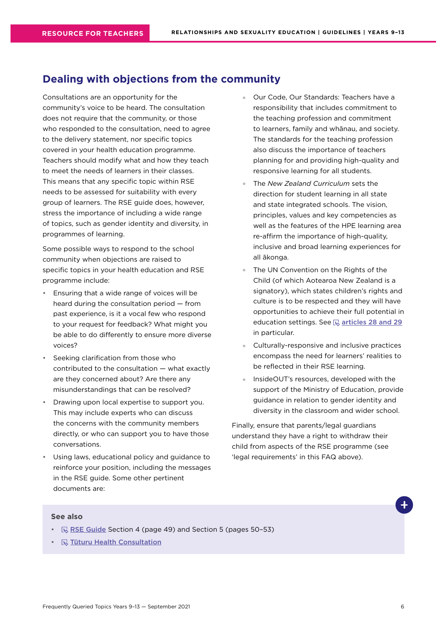## <span id="page-5-0"></span>**Dealing with objections from the community**

Consultations are an opportunity for the community's voice to be heard. The consultation does not require that the community, or those who responded to the consultation, need to agree to the delivery statement, nor specific topics covered in your health education programme. Teachers should modify what and how they teach to meet the needs of learners in their classes. This means that any specific topic within RSE needs to be assessed for suitability with every group of learners. The RSE guide does, however, stress the importance of including a wide range of topics, such as gender identity and diversity, in programmes of learning.

Some possible ways to respond to the school community when objections are raised to specific topics in your health education and RSE programme include:

- Ensuring that a wide range of voices will be heard during the consultation period — from past experience, is it a vocal few who respond to your request for feedback? What might you be able to do differently to ensure more diverse voices?
- Seeking clarification from those who contributed to the consultation — what exactly are they concerned about? Are there any misunderstandings that can be resolved?
- Drawing upon local expertise to support you. This may include experts who can discuss the concerns with the community members directly, or who can support you to have those conversations.
- Using laws, educational policy and guidance to reinforce your position, including the messages in the RSE guide. Some other pertinent documents are:
- ° Our Code, Our Standards: Teachers have a responsibility that includes commitment to the teaching profession and commitment to learners, family and whānau, and society. The standards for the teaching profession also discuss the importance of teachers planning for and providing high-quality and responsive learning for all students.
- ° The *New Zealand Curriculum* sets the direction for student learning in all state and state integrated schools. The vision, principles, values and key competencies as well as the features of the HPE learning area re-affirm the importance of high-quality, inclusive and broad learning experiences for all ākonga.
- ° The UN Convention on the Rights of the Child (of which Aotearoa New Zealand is a signatory), which states children's rights and culture is to be respected and they will have opportunities to achieve their full potential in education settings. See  $\mathbb Q$  articles 28 and 29 in particular.
- ° Culturally-responsive and inclusive practices encompass the need for learners' realities to be reflected in their RSE learning.
- InsideOUT's resources, developed with the support of the Ministry of Education, provide guidance in relation to gender identity and diversity in the classroom and wider school.

Finally, ensure that parents/legal guardians understand they have a right to withdraw their child from aspects of the RSE programme (see 'legal requirements' in this FAQ above).

- $\mathbb{R}$  [RSE Guide](https://health.tki.org.nz/Teaching-in-Heath-and-Physical-Education-HPE/Policy-Guidelines/Relationships-and-Sexuality-Education) Section 4 (page 49) and Section 5 (pages 50-53)
- **R** [Tūturu Health Consultation](https://www.tuturu.org.nz/healthconsultation/)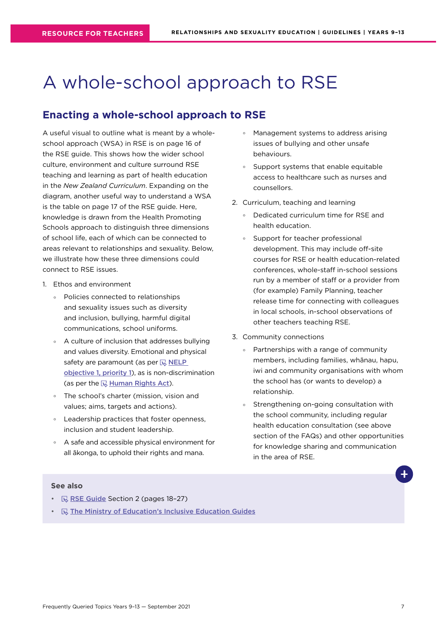## <span id="page-6-0"></span>A whole-school approach to RSE

## **Enacting a whole-school approach to RSE**

A useful visual to outline what is meant by a wholeschool approach (WSA) in RSE is on page 16 of the RSE guide. This shows how the wider school culture, environment and culture surround RSE teaching and learning as part of health education in the *New Zealand Curriculum*. Expanding on the diagram, another useful way to understand a WSA is the table on page 17 of the RSE guide. Here, knowledge is drawn from the Health Promoting Schools approach to distinguish three dimensions of school life, each of which can be connected to areas relevant to relationships and sexuality. Below, we illustrate how these three dimensions could connect to RSE issues.

- 1. Ethos and environment
	- ° Policies connected to relationships and sexuality issues such as diversity and inclusion, bullying, harmful digital communications, school uniforms.
	- ° A culture of inclusion that addresses bullying and values diversity. Emotional and physical safety are paramount (as per  $\mathbb Q$  NELP [objective 1, priority 1](https://www.education.govt.nz/assets/Documents/NELP-TES-documents/FULL-NELP-2020.pdf)), as is non-discrimination (as per the  $\mathbb R$  [Human Rights Act](https://www.hrc.co.nz/your-rights/human-rights-legislation-new-zealand/)).
	- ° The school's charter (mission, vision and values; aims, targets and actions).
	- ° Leadership practices that foster openness, inclusion and student leadership.
	- ° A safe and accessible physical environment for all ākonga, to uphold their rights and mana.
- ° Management systems to address arising issues of bullying and other unsafe behaviours.
- ° Support systems that enable equitable access to healthcare such as nurses and counsellors.
- 2. Curriculum, teaching and learning
	- ° Dedicated curriculum time for RSE and health education.
	- ° Support for teacher professional development. This may include off-site courses for RSE or health education-related conferences, whole-staff in-school sessions run by a member of staff or a provider from (for example) Family Planning, teacher release time for connecting with colleagues in local schools, in-school observations of other teachers teaching RSE.
- 3. Community connections
	- ° Partnerships with a range of community members, including families, whānau, hapu, iwi and community organisations with whom the school has (or wants to develop) a relationship.
	- Strengthening on-going consultation with the school community, including regular health education consultation (see above section of the FAQs) and other opportunities for knowledge sharing and communication in the area of RSE.

- $\mathbb R$  [RSE Guide](https://health.tki.org.nz/Teaching-in-Heath-and-Physical-Education-HPE/Policy-Guidelines/Relationships-and-Sexuality-Education) Section 2 (pages 18-27)
- $\mathbb Q$  [The Ministry of Education's Inclusive Education Guides](https://www.inclusive.tki.org.nz/)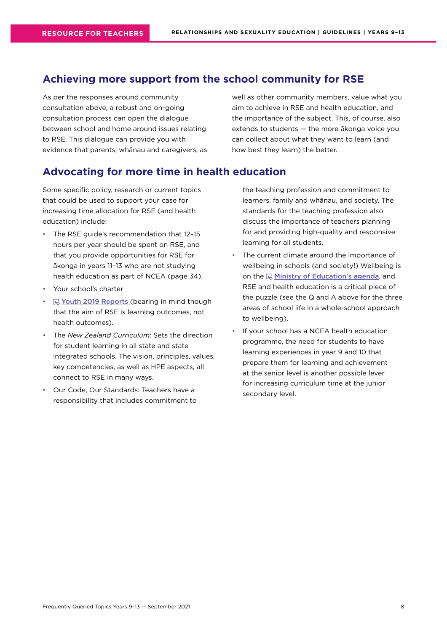## <span id="page-7-0"></span>**Achieving more support from the school community for RSE**

As per the responses around community consultation above, a robust and on-going consultation process can open the dialogue between school and home around issues relating to RSE. This dialogue can provide you with evidence that parents, whānau and caregivers, as well as other community members, value what you aim to achieve in RSE and health education, and the importance of the subject. This, of course, also extends to students — the more ākonga voice you can collect about what they want to learn (and how best they learn) the better.

## **Advocating for more time in health education**

Some specific policy, research or current topics that could be used to support your case for increasing time allocation for RSE (and health education) include:

- The RSE guide's recommendation that 12–15 hours per year should be spent on RSE, and that you provide opportunities for RSE for ākonga in years 11–13 who are not studying health education as part of NCEA (page 34).
- Your school's charter
- $\mathbb{R}$  [Youth 2019 Reports](https://www.youth19.ac.nz/publications) (bearing in mind though that the aim of RSE is learning outcomes, not health outcomes).
- The *New Zealand Curriculum*: Sets the direction for student learning in all state and state integrated schools. The vision, principles, values, key competencies, as well as HPE aspects, all connect to RSE in many ways.
- Our Code, Our Standards: Teachers have a responsibility that includes commitment to

the teaching profession and commitment to learners, family and whānau, and society. The standards for the teaching profession also discuss the importance of teachers planning for and providing high-quality and responsive learning for all students.

- The current climate around the importance of wellbeing in schools (and society!) Wellbeing is on the  $\mathbb R$  [Ministry of Education's agenda](https://www.education.govt.nz/our-work/overall-strategies-and-policies/wellbeing-in-education/), and RSE and health education is a critical piece of the puzzle (see the Q and A above for the three areas of school life in a whole-school approach to wellbeing).
- If your school has a NCEA health education programme, the need for students to have learning experiences in year 9 and 10 that prepare them for learning and achievement at the senior level is another possible lever for increasing curriculum time at the junior secondary level.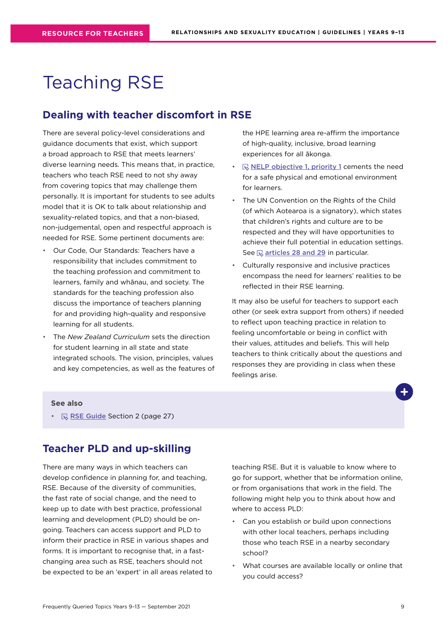## <span id="page-8-0"></span>Teaching RSE

## **Dealing with teacher discomfort in RSE**

There are several policy-level considerations and guidance documents that exist, which support a broad approach to RSE that meets learners' diverse learning needs. This means that, in practice, teachers who teach RSE need to not shy away from covering topics that may challenge them personally. It is important for students to see adults model that it is OK to talk about relationship and sexuality-related topics, and that a non-biased, non-judgemental, open and respectful approach is needed for RSE. Some pertinent documents are:

- Our Code, Our Standards: Teachers have a responsibility that includes commitment to the teaching profession and commitment to learners, family and whānau, and society. The standards for the teaching profession also discuss the importance of teachers planning for and providing high-quality and responsive learning for all students.
- The *New Zealand Curriculum* sets the direction for student learning in all state and state integrated schools. The vision, principles, values and key competencies, as well as the features of

the HPE learning area re-affirm the importance of high-quality, inclusive, broad learning experiences for all ākonga.

- $\nabla$  [NELP objective 1, priority 1](https://www.education.govt.nz/assets/Documents/NELP-TES-documents/FULL-NELP-2020.pdf) cements the need for a safe physical and emotional environment for learners.
- The UN Convention on the Rights of the Child (of which Aotearoa is a signatory), which states that children's rights and culture are to be respected and they will have opportunities to achieve their full potential in education settings. See  $\mathbb Q$  [articles 28 and 29](https://www.ohchr.org/en/professionalinterest/pages/crc.aspx) in particular.
- Culturally responsive and inclusive practices encompass the need for learners' realities to be reflected in their RSE learning.

It may also be useful for teachers to support each other (or seek extra support from others) if needed to reflect upon teaching practice in relation to feeling uncomfortable or being in conflict with their values, attitudes and beliefs. This will help teachers to think critically about the questions and responses they are providing in class when these feelings arise.

#### **See also**

•  $\mathbb R$  [RSE Guide](https://health.tki.org.nz/Teaching-in-Heath-and-Physical-Education-HPE/Policy-Guidelines/Relationships-and-Sexuality-Education) Section 2 (page 27)

## **Teacher PLD and up-skilling**

There are many ways in which teachers can develop confidence in planning for, and teaching, RSE. Because of the diversity of communities, the fast rate of social change, and the need to keep up to date with best practice, professional learning and development (PLD) should be ongoing. Teachers can access support and PLD to inform their practice in RSE in various shapes and forms. It is important to recognise that, in a fastchanging area such as RSE, teachers should not be expected to be an 'expert' in all areas related to teaching RSE. But it is valuable to know where to go for support, whether that be information online, or from organisations that work in the field. The following might help you to think about how and where to access PLD:

- Can you establish or build upon connections with other local teachers, perhaps including those who teach RSE in a nearby secondary school?
- What courses are available locally or online that you could access?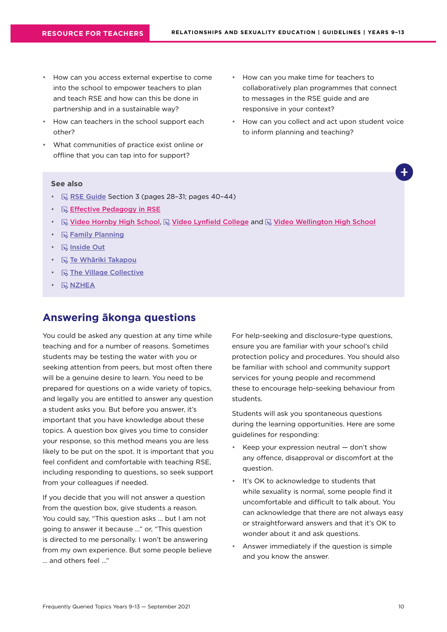- <span id="page-9-0"></span>• How can you access external expertise to come into the school to empower teachers to plan and teach RSE and how can this be done in partnership and in a sustainable way?
- How can teachers in the school support each other?
- What communities of practice exist online or offline that you can tap into for support?
- How can you make time for teachers to collaboratively plan programmes that connect to messages in the RSE guide and are responsive in your context?
- How can you collect and act upon student voice to inform planning and teaching?

#### **See also**

- $\mathbb{R}$  [RSE Guide](https://health.tki.org.nz/Teaching-in-Heath-and-Physical-Education-HPE/Policy-Guidelines/Relationships-and-Sexuality-Education) Section 3 (pages 28-31; pages 40-44)
- **B** Effective Pedagogy in RSE
- $\mathbb Q$  Video Hornby High School,  $\mathbb Q$  Video Lynfield College and  $\mathbb Q$  Video Wellington High School
- $\cdot$   $\quad$   $\mathbb{R}$  [Family Planning](https://www.familyplanning.org.nz/)
- *<u>R</u>* [Inside Out](http://insideout.org.nz/)
- $\mathbb Q$  [Te Whāriki Takapou](https://tewhariki.org.nz/)
- $\mathbb Q$  [The Village Collective](https://www.villagecollective.org.nz/)
- **B**[NZHEA](https://healtheducation.org.nz)

### **Answering ākonga questions**

You could be asked any question at any time while teaching and for a number of reasons. Sometimes students may be testing the water with you or seeking attention from peers, but most often there will be a genuine desire to learn. You need to be prepared for questions on a wide variety of topics, and legally you are entitled to answer any question a student asks you. But before you answer, it's important that you have knowledge about these topics. A question box gives you time to consider your response, so this method means you are less likely to be put on the spot. It is important that you feel confident and comfortable with teaching RSE, including responding to questions, so seek support from your colleagues if needed.

If you decide that you will not answer a question from the question box, give students a reason. You could say, "This question asks … but I am not going to answer it because …" or, "This question is directed to me personally. I won't be answering from my own experience. But some people believe … and others feel …"

For help-seeking and disclosure-type questions, ensure you are familiar with your school's child protection policy and procedures. You should also be familiar with school and community support services for young people and recommend these to encourage help-seeking behaviour from students.

Students will ask you spontaneous questions during the learning opportunities. Here are some guidelines for responding:

- Keep your expression neutral don't show any offence, disapproval or discomfort at the question.
- It's OK to acknowledge to students that while sexuality is normal, some people find it uncomfortable and difficult to talk about. You can acknowledge that there are not always easy or straightforward answers and that it's OK to wonder about it and ask questions.
- Answer immediately if the question is simple and you know the answer.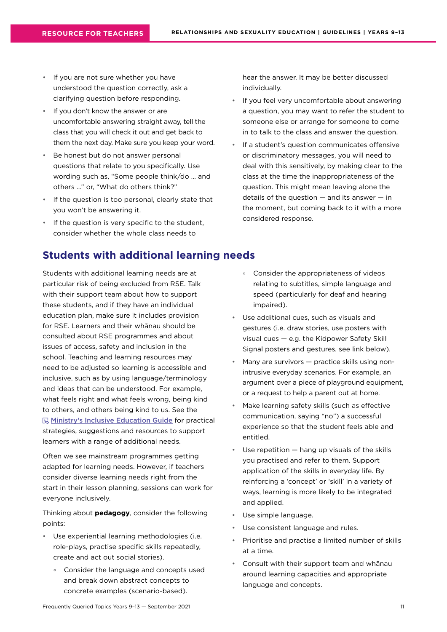- <span id="page-10-0"></span>• If you are not sure whether you have understood the question correctly, ask a clarifying question before responding.
- If you don't know the answer or are uncomfortable answering straight away, tell the class that you will check it out and get back to them the next day. Make sure you keep your word.
- Be honest but do not answer personal questions that relate to you specifically. Use wording such as, "Some people think/do … and others …" or, "What do others think?"
- If the question is too personal, clearly state that you won't be answering it.
- If the question is very specific to the student, consider whether the whole class needs to

## **Students with additional learning needs**

Students with additional learning needs are at particular risk of being excluded from RSE. Talk with their support team about how to support these students, and if they have an individual education plan, make sure it includes provision for RSE. Learners and their whānau should be consulted about RSE programmes and about issues of access, safety and inclusion in the school. Teaching and learning resources may need to be adjusted so learning is accessible and inclusive, such as by using language/terminology and ideas that can be understood. For example, what feels right and what feels wrong, being kind to others, and others being kind to us. See the **[Ministry's Inclusive Education Guide](https://www.inclusive.tki.org.nz/guides/) for practical** strategies, suggestions and resources to support learners with a range of additional needs.

Often we see mainstream programmes getting adapted for learning needs. However, if teachers consider diverse learning needs right from the start in their lesson planning, sessions can work for everyone inclusively.

Thinking about **pedagogy**, consider the following points:

- Use experiential learning methodologies (i.e. role-plays, practise specific skills repeatedly, create and act out social stories).
	- ° Consider the language and concepts used and break down abstract concepts to concrete examples (scenario-based).

hear the answer. It may be better discussed individually.

- If you feel very uncomfortable about answering a question, you may want to refer the student to someone else or arrange for someone to come in to talk to the class and answer the question.
- If a student's question communicates offensive or discriminatory messages, you will need to deal with this sensitively, by making clear to the class at the time the inappropriateness of the question. This might mean leaving alone the details of the question  $-$  and its answer  $-$  in the moment, but coming back to it with a more considered response.
	- ° Consider the appropriateness of videos relating to subtitles, simple language and speed (particularly for deaf and hearing impaired).
- Use additional cues, such as visuals and gestures (i.e. draw stories, use posters with visual cues — e.g. the Kidpower Safety Skill Signal posters and gestures, see link below).
- Many are survivors practice skills using nonintrusive everyday scenarios. For example, an argument over a piece of playground equipment, or a request to help a parent out at home.
- Make learning safety skills (such as effective communication, saying "no") a successful experience so that the student feels able and entitled.
- Use repetition  $-$  hang up visuals of the skills you practised and refer to them. Support application of the skills in everyday life. By reinforcing a 'concept' or 'skill' in a variety of ways, learning is more likely to be integrated and applied.
- Use simple language.
- Use consistent language and rules.
- Prioritise and practise a limited number of skills at a time.
- Consult with their support team and whānau around learning capacities and appropriate language and concepts.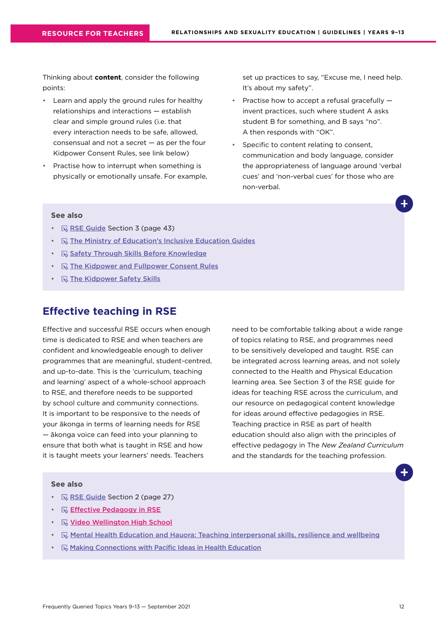<span id="page-11-0"></span>Thinking about **content**, consider the following points:

- Learn and apply the ground rules for healthy relationships and interactions — establish clear and simple ground rules (i.e. that every interaction needs to be safe, allowed, consensual and not a secret — as per the four Kidpower Consent Rules, see link below)
- Practise how to interrupt when something is physically or emotionally unsafe. For example,

set up practices to say, "Excuse me, I need help. It's about my safety".

- Practise how to accept a refusal gracefully invent practices, such where student A asks student B for something, and B says "no". A then responds with "OK".
- Specific to content relating to consent, communication and body language, consider the appropriateness of language around 'verbal cues' and 'non-verbal cues' for those who are non-verbal.

#### **See also**

- $\mathbb{R}$  [RSE Guide](https://health.tki.org.nz/Teaching-in-Heath-and-Physical-Education-HPE/Policy-Guidelines/Relationships-and-Sexuality-Education) Section 3 (page 43)
- $\mathbb Q$  [The Ministry of Education's Inclusive Education Guides](https://www.inclusive.tki.org.nz/)
- **B** [Safety Through Skills Before Knowledge](https://www.kidpower.org/library/article/safety-through-skills-before-knowledge)
- $\Box$  [The Kidpower and Fullpower Consent Rules](https://www.kidpower.org/library/consent-posters/)
- $\cdot$   $\quad$   $\mathbb{R}$  [The Kidpower Safety Skills](https://empowermenttrust.nz/resources/kidpower-safety-signals/)

## **Effective teaching in RSE**

Effective and successful RSE occurs when enough time is dedicated to RSE and when teachers are confident and knowledgeable enough to deliver programmes that are meaningful, student-centred, and up-to-date. This is the 'curriculum, teaching and learning' aspect of a whole-school approach to RSE, and therefore needs to be supported by school culture and community connections. It is important to be responsive to the needs of your ākonga in terms of learning needs for RSE — ākonga voice can feed into your planning to ensure that both what is taught in RSE and how it is taught meets your learners' needs. Teachers

need to be comfortable talking about a wide range of topics relating to RSE, and programmes need to be sensitively developed and taught. RSE can be integrated across learning areas, and not solely connected to the Health and Physical Education learning area. See Section 3 of the RSE guide for ideas for teaching RSE across the curriculum, and our resource on pedagogical content knowledge for ideas around effective pedagogies in RSE. Teaching practice in RSE as part of health education should also align with the principles of effective pedagogy in The *New Zealand Curriculum* and the standards for the teaching profession.

- $\mathbb{R}$  [RSE Guide](https://health.tki.org.nz/Teaching-in-Heath-and-Physical-Education-HPE/Policy-Guidelines/Relationships-and-Sexuality-Education) Section 2 (page 27)
- $\cdot$   $\quad$   $\mathbb{R}$  Effective Pedagogy in RSE
- $\mathbb R$  Video Wellington High School
- $\mathbb R$  [Mental Health Education and Hauora: Teaching interpersonal skills, resilience and wellbeing](https://healtheducation.org.nz/resources/mental-health-education/)
- **[Making Connections with Pacific Ideas in Health Education](https://healtheducation.org.nz/resources/)**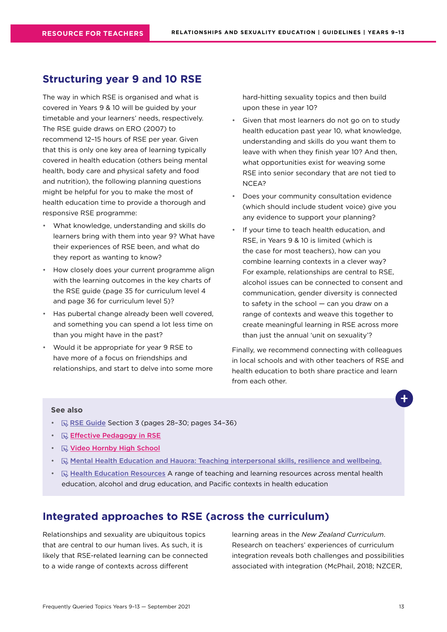### <span id="page-12-0"></span>**Structuring year 9 and 10 RSE**

The way in which RSE is organised and what is covered in Years 9 & 10 will be guided by your timetable and your learners' needs, respectively. The RSE guide draws on ERO (2007) to recommend 12–15 hours of RSE per year. Given that this is only one key area of learning typically covered in health education (others being mental health, body care and physical safety and food and nutrition), the following planning questions might be helpful for you to make the most of health education time to provide a thorough and responsive RSE programme:

- What knowledge, understanding and skills do learners bring with them into year 9? What have their experiences of RSE been, and what do they report as wanting to know?
- How closely does your current programme align with the learning outcomes in the key charts of the RSE guide (page 35 for curriculum level 4 and page 36 for curriculum level 5)?
- Has pubertal change already been well covered, and something you can spend a lot less time on than you might have in the past?
- Would it be appropriate for year 9 RSE to have more of a focus on friendships and relationships, and start to delve into some more

hard-hitting sexuality topics and then build upon these in year 10?

- Given that most learners do not go on to study health education past year 10, what knowledge, understanding and skills do you want them to leave with when they finish year 10? And then, what opportunities exist for weaving some RSE into senior secondary that are not tied to NCEA?
- Does your community consultation evidence (which should include student voice) give you any evidence to support your planning?
- If your time to teach health education, and RSE, in Years 9 & 10 is limited (which is the case for most teachers), how can you combine learning contexts in a clever way? For example, relationships are central to RSE, alcohol issues can be connected to consent and communication, gender diversity is connected to safety in the school — can you draw on a range of contexts and weave this together to create meaningful learning in RSE across more than just the annual 'unit on sexuality'?

Finally, we recommend connecting with colleagues in local schools and with other teachers of RSE and health education to both share practice and learn from each other.

#### **See also**

- $\mathbb{R}$  [RSE Guide](https://health.tki.org.nz/Teaching-in-Heath-and-Physical-Education-HPE/Policy-Guidelines/Relationships-and-Sexuality-Education) Section 3 (pages 28-30; pages 34-36)
- **B** Effective Pedagogy in RSE
- $\mathbb R$  Video Hornby High School
- $\mathbb R$  [Mental Health Education and Hauora: Teaching interpersonal skills, resilience and wellbeing.](https://healtheducation.org.nz/resources/mental-health-education/ )
- $\mathbb R$  [Health Education Resources](https://healtheducation.org.nz/resources/) A range of teaching and learning resources across mental health education, alcohol and drug education, and Pacific contexts in health education

#### **Integrated approaches to RSE (across the curriculum)**

Relationships and sexuality are ubiquitous topics that are central to our human lives. As such, it is likely that RSE-related learning can be connected to a wide range of contexts across different

learning areas in the *New Zealand Curriculum*. Research on teachers' experiences of curriculum integration reveals both challenges and possibilities associated with integration (McPhail, 2018; NZCER,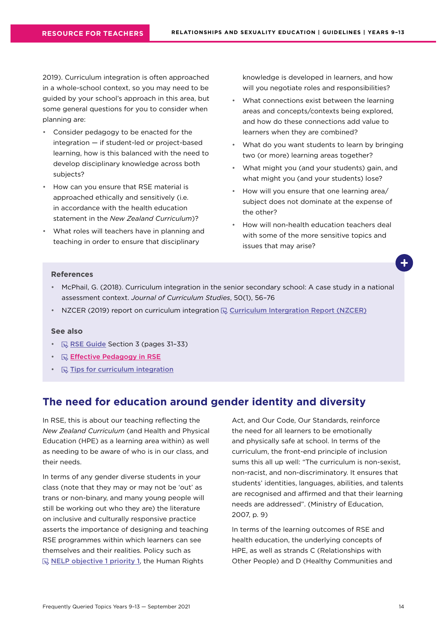<span id="page-13-0"></span>2019). Curriculum integration is often approached in a whole-school context, so you may need to be guided by your school's approach in this area, but some general questions for you to consider when planning are:

- Consider pedagogy to be enacted for the integration — if student-led or project-based learning, how is this balanced with the need to develop disciplinary knowledge across both subjects?
- How can you ensure that RSE material is approached ethically and sensitively (i.e. in accordance with the health education statement in the *New Zealand Curriculum*)?
- What roles will teachers have in planning and teaching in order to ensure that disciplinary

knowledge is developed in learners, and how will you negotiate roles and responsibilities?

- What connections exist between the learning areas and concepts/contexts being explored, and how do these connections add value to learners when they are combined?
- What do you want students to learn by bringing two (or more) learning areas together?
- What might you (and your students) gain, and what might you (and your students) lose?
- How will you ensure that one learning area/ subject does not dominate at the expense of the other?
- How will non-health education teachers deal with some of the more sensitive topics and issues that may arise?

#### **References**

- McPhail, G. (2018). Curriculum integration in the senior secondary school: A case study in a national assessment context. *Journal of Curriculum Studies*, 50(1), 56–76
- NZCER (2019) report on curriculum integration  $\mathbb{Q}$  [Curriculum Intergration Report \(NZCER\)](https://www.nzcer.org.nz/system/files/Curriculum%20Integration%202018-2019.pdf)

#### **See also**

- $\mathbb{R}$  [RSE Guide](https://health.tki.org.nz/Teaching-in-Heath-and-Physical-Education-HPE/Policy-Guidelines/Relationships-and-Sexuality-Education) Section 3 (pages 31-33)
- **B** Effective Pedagogy in RSE
- $\mathbb{R}$  [Tips for curriculum integration](https://theeducationhub.org.nz/an-introduction-to-curriculum-integration/)

## **The need for education around gender identity and diversity**

In RSE, this is about our teaching reflecting the *New Zealand Curriculum* (and Health and Physical Education (HPE) as a learning area within) as well as needing to be aware of who is in our class, and their needs.

In terms of any gender diverse students in your class (note that they may or may not be 'out' as trans or non-binary, and many young people will still be working out who they are) the literature on inclusive and culturally responsive practice asserts the importance of designing and teaching RSE programmes within which learners can see themselves and their realities. Policy such as  $\mathbb R$  [NELP objective 1 priority 1](https://www.education.govt.nz/assets/Documents/NELP-TES-documents/FULL-NELP-2020.pdf), the Human Rights

Act, and Our Code, Our Standards, reinforce the need for all learners to be emotionally and physically safe at school. In terms of the curriculum, the front-end principle of inclusion sums this all up well: "The curriculum is non-sexist, non-racist, and non-discriminatory. It ensures that students' identities, languages, abilities, and talents are recognised and affirmed and that their learning needs are addressed". (Ministry of Education, 2007, p. 9)

In terms of the learning outcomes of RSE and health education, the underlying concepts of HPE, as well as strands C (Relationships with Other People) and D (Healthy Communities and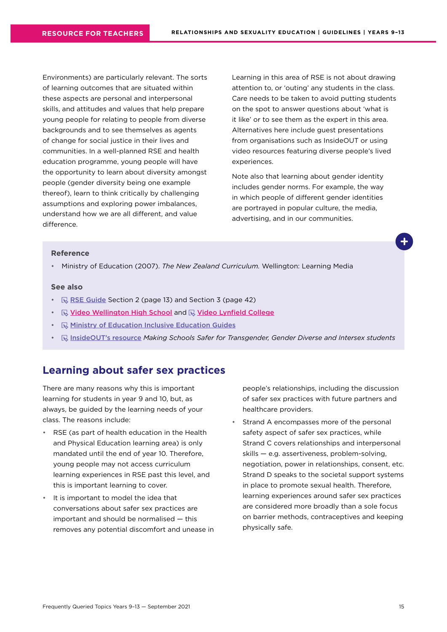<span id="page-14-0"></span>Environments) are particularly relevant. The sorts of learning outcomes that are situated within these aspects are personal and interpersonal skills, and attitudes and values that help prepare young people for relating to people from diverse backgrounds and to see themselves as agents of change for social justice in their lives and communities. In a well-planned RSE and health education programme, young people will have the opportunity to learn about diversity amongst people (gender diversity being one example thereof), learn to think critically by challenging assumptions and exploring power imbalances, understand how we are all different, and value difference

Learning in this area of RSE is not about drawing attention to, or 'outing' any students in the class. Care needs to be taken to avoid putting students on the spot to answer questions about 'what is it like' or to see them as the expert in this area. Alternatives here include guest presentations from organisations such as InsideOUT or using video resources featuring diverse people's lived experiences.

Note also that learning about gender identity includes gender norms. For example, the way in which people of different gender identities are portrayed in popular culture, the media, advertising, and in our communities.

#### **Reference**

• Ministry of Education (2007). *The New Zealand Curriculum.* Wellington: Learning Media

#### **See also**

- $\mathbb R$  [RSE Guide](https://health.tki.org.nz/Teaching-in-Heath-and-Physical-Education-HPE/Policy-Guidelines/Relationships-and-Sexuality-Education) Section 2 (page 13) and Section 3 (page 42)
- $\mathbb R$  Video Wellington High School and  $\mathbb R$  Video Lynfield College
- $\mathbb R$  [Ministry of Education Inclusive Education Guides](https://www.inclusive.tki.org.nz/guides/supporting-lgbtiqa-students/)
- [InsideOUT's resource](http://insideout.org.nz/resources/) *Making Schools Safer for Transgender, Gender Diverse and Intersex students*

#### **Learning about safer sex practices**

There are many reasons why this is important learning for students in year 9 and 10, but, as always, be guided by the learning needs of your class. The reasons include:

- RSE (as part of health education in the Health and Physical Education learning area) is only mandated until the end of year 10. Therefore, young people may not access curriculum learning experiences in RSE past this level, and this is important learning to cover.
- It is important to model the idea that conversations about safer sex practices are important and should be normalised — this removes any potential discomfort and unease in

people's relationships, including the discussion of safer sex practices with future partners and healthcare providers.

Strand A encompasses more of the personal safety aspect of safer sex practices, while Strand C covers relationships and interpersonal skills — e.g. assertiveness, problem-solving, negotiation, power in relationships, consent, etc. Strand D speaks to the societal support systems in place to promote sexual health. Therefore, learning experiences around safer sex practices are considered more broadly than a sole focus on barrier methods, contraceptives and keeping physically safe.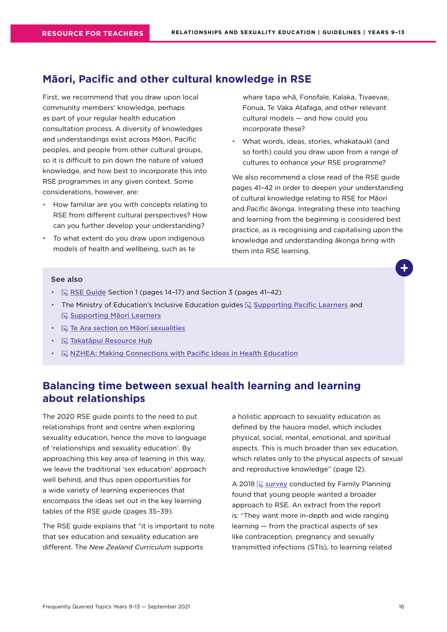### <span id="page-15-0"></span>**Māori, Pacific and other cultural knowledge in RSE**

First, we recommend that you draw upon local community members' knowledge, perhaps as part of your regular health education consultation process. A diversity of knowledges and understandings exist across Māori, Pacific peoples, and people from other cultural groups, so it is difficult to pin down the nature of valued knowledge, and how best to incorporate this into RSE programmes in any given context. Some considerations, however, are:

- How familiar are you with concepts relating to RSE from different cultural perspectives? How can you further develop your understanding?
- To what extent do you draw upon indigenous models of health and wellbeing, such as te

whare tapa whā, Fonofale, Kalaka, Tivaevae, Fonua, Te Vaka Atafaga, and other relevant cultural models — and how could you incorporate these?

• What words, ideas, stories, whakataukī (and so forth) could you draw upon from a range of cultures to enhance your RSE programme?

We also recommend a close read of the RSE quide pages 41–42 in order to deepen your understanding of cultural knowledge relating to RSE for Māori and Pacific ākonga. Integrating these into teaching and learning from the beginning is considered best practice, as is recognising and capitalising upon the knowledge and understanding ākonga bring with them into RSE learning.

#### **See also**

- $\mathbb{R}$  [RSE Guide](https://health.tki.org.nz/Teaching-in-Heath-and-Physical-Education-HPE/Policy-Guidelines/Relationships-and-Sexuality-Education) Section 1 (pages 14-17) and Section 3 (pages 41-42)
- The Ministry of Education's Inclusive Education guides  $\mathbb Q$  [Supporting Pacific Learners](https://www.inclusive.tki.org.nz/guides/supporting-pacific-learners/) and **[Supporting Māori Learners](https://www.inclusive.tki.org.nz/guides/supporting-maori-students/)**
- $\cdot$   $\mathbb R$  [Te Ara section on Māori sexualities](https://teara.govt.nz/en/hokakatanga-maori-sexualities/media)
- $\mathbb Q$  [Takatāpui Resource Hub](https://takatapui.nz/)
- **[NZHEA: Making Connections with Pacific Ideas in Health Education](https://healtheducation.org.nz/resources/)**

## **Balancing time between sexual health learning and learning about relationships**

The 2020 RSE guide points to the need to put relationships front and centre when exploring sexuality education, hence the move to language of 'relationships and sexuality education'. By approaching this key area of learning in this way, we leave the traditional 'sex education' approach well behind, and thus open opportunities for a wide variety of learning experiences that encompass the ideas set out in the key learning tables of the RSE guide (pages 35–39).

The RSE guide explains that "it is important to note that sex education and sexuality education are different. The *New Zealand Curriculum* supports

a holistic approach to sexuality education as defined by the hauora model, which includes physical, social, mental, emotional, and spiritual aspects. This is much broader than sex education, which relates only to the physical aspects of sexual and reproductive knowledge" (page 12).

A 2018  $\overline{\mathbb{Q}}$  [survey](https://www.familyplanning.org.nz/media/303990/youth-survey-summary-report_march2019_final.pdf) conducted by Family Planning found that young people wanted a broader approach to RSE. An extract from the report is: "They want more in-depth and wide ranging learning — from the practical aspects of sex like contraception, pregnancy and sexually transmitted infections (STIs), to learning related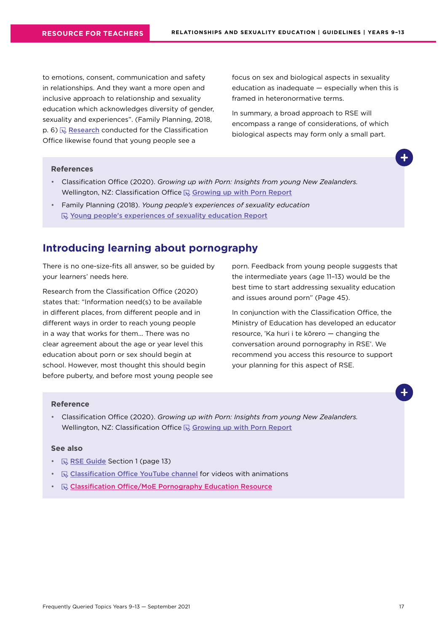<span id="page-16-0"></span>to emotions, consent, communication and safety in relationships. And they want a more open and inclusive approach to relationship and sexuality education which acknowledges diversity of gender, sexuality and experiences". (Family Planning, 2018,  $p. 6$ )  $\mathbb{R}$  [Research](https://www.classificationoffice.govt.nz/assets/PDFs/Growing-up-with-Porn-Web.pdf) conducted for the Classification Office likewise found that young people see a

focus on sex and biological aspects in sexuality education as inadequate — especially when this is framed in heteronormative terms.

In summary, a broad approach to RSE will encompass a range of considerations, of which biological aspects may form only a small part.

#### **References**

- Classification Office (2020). *Growing up with Porn: Insights from young New Zealanders.* Wellington, NZ: Classification Office  $\mathbb Q$  [Growing up with Porn Report](https://www.classificationoffice.govt.nz/assets/PDFs/Growing-up-with-Porn-Web.pdf)
- Family Planning (2018). *Young people's experiences of sexuality education* **Voung people's experiences of sexuality education [Report](https://www.familyplanning.org.nz/media/303990/youth-survey-summary-report_march2019_final.pdf)**

## **Introducing learning about pornography**

There is no one-size-fits all answer, so be guided by your learners' needs here.

Research from the Classification Office (2020) states that: "Information need(s) to be available in different places, from different people and in different ways in order to reach young people in a way that works for them... There was no clear agreement about the age or year level this education about porn or sex should begin at school. However, most thought this should begin before puberty, and before most young people see porn. Feedback from young people suggests that the intermediate years (age 11–13) would be the best time to start addressing sexuality education and issues around porn" (Page 45).

In conjunction with the Classification Office, the Ministry of Education has developed an educator resource, 'Ka huri i te kōrero — changing the conversation around pornography in RSE'. We recommend you access this resource to support your planning for this aspect of RSE.

#### **Reference**

• Classification Office (2020). *Growing up with Porn: Insights from young New Zealanders.* Wellington, NZ: Classification Office  $\mathbb Q$  [Growing up with Porn Report](https://www.classificationoffice.govt.nz/assets/PDFs/Growing-up-with-Porn-Web.pdf)

- $\mathbb R$  [RSE Guide](https://health.tki.org.nz/Teaching-in-Heath-and-Physical-Education-HPE/Policy-Guidelines/Relationships-and-Sexuality-Education) Section 1 (page 13)
- $\mathbb R$  [Classification Office YouTube](https://www.youtube.com/channel/UC4FZc4ZmmjN-zwVGqXngaoA) channel for videos with animations
- **E** Classification Office/MoE Pornography Education Resource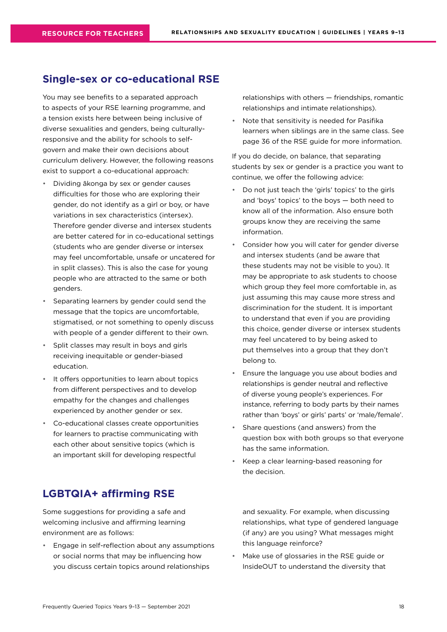### <span id="page-17-0"></span>**Single-sex or co-educational RSE**

You may see benefits to a separated approach to aspects of your RSE learning programme, and a tension exists here between being inclusive of diverse sexualities and genders, being culturallyresponsive and the ability for schools to selfgovern and make their own decisions about curriculum delivery. However, the following reasons exist to support a co-educational approach:

- Dividing ākonga by sex or gender causes difficulties for those who are exploring their gender, do not identify as a girl or boy, or have variations in sex characteristics (intersex). Therefore gender diverse and intersex students are better catered for in co-educational settings (students who are gender diverse or intersex may feel uncomfortable, unsafe or uncatered for in split classes). This is also the case for young people who are attracted to the same or both genders.
- Separating learners by gender could send the message that the topics are uncomfortable, stigmatised, or not something to openly discuss with people of a gender different to their own.
- Split classes may result in boys and girls receiving inequitable or gender-biased education.
- It offers opportunities to learn about topics from different perspectives and to develop empathy for the changes and challenges experienced by another gender or sex.
- Co-educational classes create opportunities for learners to practise communicating with each other about sensitive topics (which is an important skill for developing respectful

## **LGBTQIA+ affirming RSE**

Some suggestions for providing a safe and welcoming inclusive and affirming learning environment are as follows:

• Engage in self-reflection about any assumptions or social norms that may be influencing how you discuss certain topics around relationships

relationships with others — friendships, romantic relationships and intimate relationships).

• Note that sensitivity is needed for Pasifika learners when siblings are in the same class. See page 36 of the RSE guide for more information.

If you do decide, on balance, that separating students by sex or gender is a practice you want to continue, we offer the following advice:

- Do not just teach the 'girls' topics' to the girls and 'boys' topics' to the boys — both need to know all of the information. Also ensure both groups know they are receiving the same information.
- Consider how you will cater for gender diverse and intersex students (and be aware that these students may not be visible to you). It may be appropriate to ask students to choose which group they feel more comfortable in, as just assuming this may cause more stress and discrimination for the student. It is important to understand that even if you are providing this choice, gender diverse or intersex students may feel uncatered to by being asked to put themselves into a group that they don't belong to.
- Ensure the language you use about bodies and relationships is gender neutral and reflective of diverse young people's experiences. For instance, referring to body parts by their names rather than 'boys' or girls' parts' or 'male/female'.
- Share questions (and answers) from the question box with both groups so that everyone has the same information.
- Keep a clear learning-based reasoning for the decision.

and sexuality. For example, when discussing relationships, what type of gendered language (if any) are you using? What messages might this language reinforce?

Make use of glossaries in the RSE guide or InsideOUT to understand the diversity that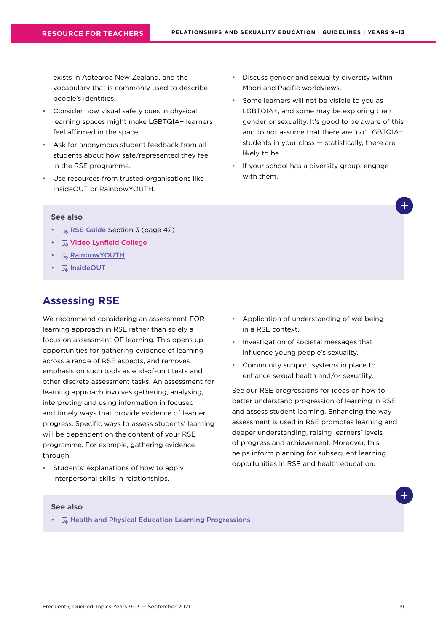<span id="page-18-0"></span>exists in Aotearoa New Zealand, and the vocabulary that is commonly used to describe people's identities.

- Consider how visual safety cues in physical learning spaces might make LGBTQIA+ learners feel affirmed in the space.
- Ask for anonymous student feedback from all students about how safe/represented they feel in the RSE programme.
- Use resources from trusted organisations like InsideOUT or RainbowYOUTH.
- Discuss gender and sexuality diversity within Māori and Pacific worldviews.
- Some learners will not be visible to you as LGBTQIA+, and some may be exploring their gender or sexuality. It's good to be aware of this and to not assume that there are 'no' LGBTQIA+ students in your class — statistically, there are likely to be.
- If your school has a diversity group, engage with them.

#### **See also**

- $\mathbb R$  [RSE Guide](https://health.tki.org.nz/Teaching-in-Heath-and-Physical-Education-HPE/Policy-Guidelines/Relationships-and-Sexuality-Education) Section 3 (page 42)
- **R** Video Lynfield College
- **[RainbowYOUTH](https://ry.org.nz/)**
- **R** [InsideOUT](https://insideout.org.nz/)

## **Assessing RSE**

We recommend considering an assessment FOR learning approach in RSE rather than solely a focus on assessment OF learning. This opens up opportunities for gathering evidence of learning across a range of RSE aspects, and removes emphasis on such tools as end-of-unit tests and other discrete assessment tasks. An assessment for learning approach involves gathering, analysing, interpreting and using information in focused and timely ways that provide evidence of learner progress. Specific ways to assess students' learning will be dependent on the content of your RSE programme. For example, gathering evidence through:

• Students' explanations of how to apply interpersonal skills in relationships.

- Application of understanding of wellbeing in a RSE context.
- Investigation of societal messages that influence young people's sexuality.
- Community support systems in place to enhance sexual health and/or sexuality.

See our RSE progressions for ideas on how to better understand progression of learning in RSE and assess student learning. Enhancing the way assessment is used in RSE promotes learning and deeper understanding, raising learners' levels of progress and achievement. Moreover, this helps inform planning for subsequent learning opportunities in RSE and health education.

#### **See also**

•  $\mathbb Q$  [Health and Physical Education Learning Progressions](http://hpeprogressions.education.govt.nz/frameworks/healthandpe/index.aspx)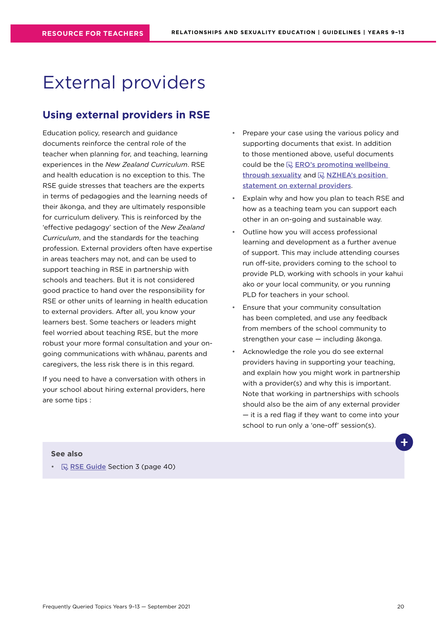## <span id="page-19-0"></span>External providers

## **Using external providers in RSE**

Education policy, research and guidance documents reinforce the central role of the teacher when planning for, and teaching, learning experiences in the *New Zealand Curriculum*. RSE and health education is no exception to this. The RSE guide stresses that teachers are the experts in terms of pedagogies and the learning needs of their ākonga, and they are ultimately responsible for curriculum delivery. This is reinforced by the 'effective pedagogy' section of the *New Zealand Curriculum*, and the standards for the teaching profession. External providers often have expertise in areas teachers may not, and can be used to support teaching in RSE in partnership with schools and teachers. But it is not considered good practice to hand over the responsibility for RSE or other units of learning in health education to external providers. After all, you know your learners best. Some teachers or leaders might feel worried about teaching RSE, but the more robust your more formal consultation and your ongoing communications with whānau, parents and caregivers, the less risk there is in this regard.

If you need to have a conversation with others in your school about hiring external providers, here are some tips :

- Prepare your case using the various policy and supporting documents that exist. In addition to those mentioned above, useful documents could be the  $\mathbb Q$  ERO's promoting wellbeing [through sexuality](https://ero.govt.nz/our-research/promoting-wellbeing-through-sexuality-education) and  $\mathbb Q$  NZHEA's position [statement on external providers](https://healtheducation.org.nz/wp-content/uploads/2018/11/5-nzhea-position-statement-external-providers.pdf).
- Explain why and how you plan to teach RSE and how as a teaching team you can support each other in an on-going and sustainable way.
- Outline how you will access professional learning and development as a further avenue of support. This may include attending courses run off-site, providers coming to the school to provide PLD, working with schools in your kahui ako or your local community, or you running PLD for teachers in your school.
- Ensure that your community consultation has been completed, and use any feedback from members of the school community to strengthen your case — including ākonga.
- Acknowledge the role you do see external providers having in supporting your teaching, and explain how you might work in partnership with a provider(s) and why this is important. Note that working in partnerships with schools should also be the aim of any external provider — it is a red flag if they want to come into your school to run only a 'one-off' session(s).

#### **See also**

•  $\mathbb R$  [RSE Guide](https://health.tki.org.nz/Teaching-in-Heath-and-Physical-Education-HPE/Policy-Guidelines/Relationships-and-Sexuality-Education) Section 3 (page 40)